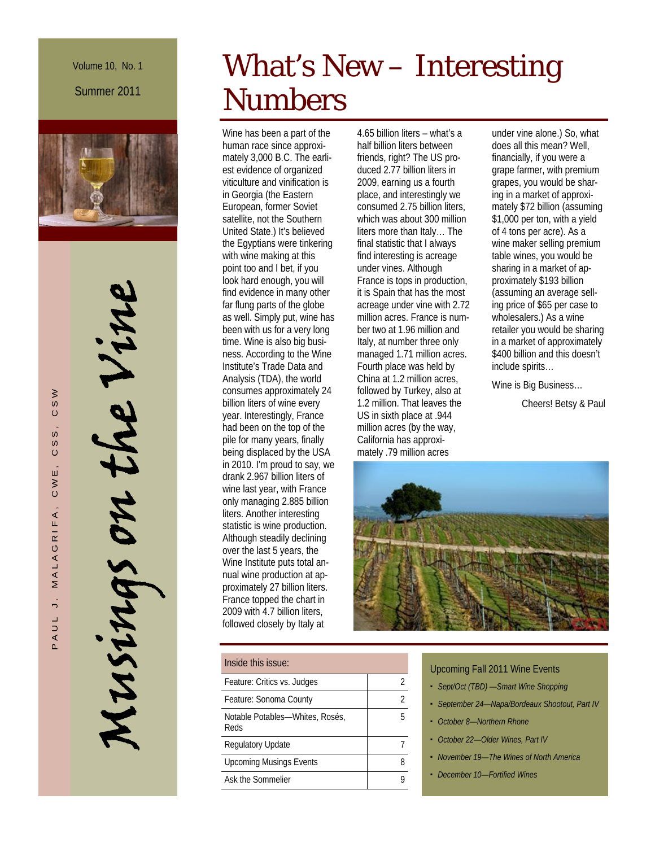Volume 10, No. 1 Summer 2011



Musings on the Vine MUSINAS on the Vine

# What's New – Interesting Numbers

Wine has been a part of the human race since approximately 3,000 B.C. The earliest evidence of organized viticulture and vinification is in Georgia (the Eastern European, former Soviet satellite, not the Southern United State.) It's believed the Egyptians were tinkering with wine making at this point too and I bet, if you look hard enough, you will find evidence in many other far flung parts of the globe as well. Simply put, wine has been with us for a very long time. Wine is also big business. According to the Wine Institute's Trade Data and Analysis (TDA), the world consumes approximately 24 billion liters of wine every year. Interestingly, France had been on the top of the pile for many years, finally being displaced by the USA in 2010. I'm proud to say, we drank 2.967 billion liters of wine last year, with France only managing 2.885 billion liters. Another interesting statistic is wine production. Although steadily declining over the last 5 years, the Wine Institute puts total annual wine production at approximately 27 billion liters. France topped the chart in 2009 with 4.7 billion liters, followed closely by Italy at

| Inside this issue:                      |  |
|-----------------------------------------|--|
| Feature: Critics vs. Judges             |  |
| Feature: Sonoma County                  |  |
| Notable Potables—Whites, Rosés,<br>Reds |  |
| Regulatory Update                       |  |
| <b>Upcoming Musings Events</b>          |  |
| Ask the Sommelier                       |  |

4.65 billion liters – what's a half billion liters between friends, right? The US produced 2.77 billion liters in 2009, earning us a fourth place, and interestingly we consumed 2.75 billion liters, which was about 300 million liters more than Italy… The final statistic that I always find interesting is acreage under vines. Although France is tops in production, it is Spain that has the most acreage under vine with 2.72 million acres. France is number two at 1.96 million and Italy, at number three only managed 1.71 million acres. Fourth place was held by China at 1.2 million acres, followed by Turkey, also at 1.2 million. That leaves the US in sixth place at .944 million acres (by the way, California has approximately .79 million acres

under vine alone.) So, what does all this mean? Well, financially, if you were a grape farmer, with premium grapes, you would be sharing in a market of approximately \$72 billion (assuming \$1,000 per ton, with a yield of 4 tons per acre). As a wine maker selling premium table wines, you would be sharing in a market of approximately \$193 billion (assuming an average selling price of \$65 per case to wholesalers.) As a wine retailer you would be sharing in a market of approximately \$400 billion and this doesn't include spirits…

Wine is Big Business…

Cheers! Betsy & Paul



- Upcoming Fall 2011 Wine Events
- *Sept/Oct (TBD) —Smart Wine Shopping*
- *September 24—Napa/Bordeaux Shootout, Part IV*
- *October 8—Northern Rhone*
- *October 22—Older Wines, Part IV*
- *November 19—The Wines of North America*
- *December 10—Fortified Wines*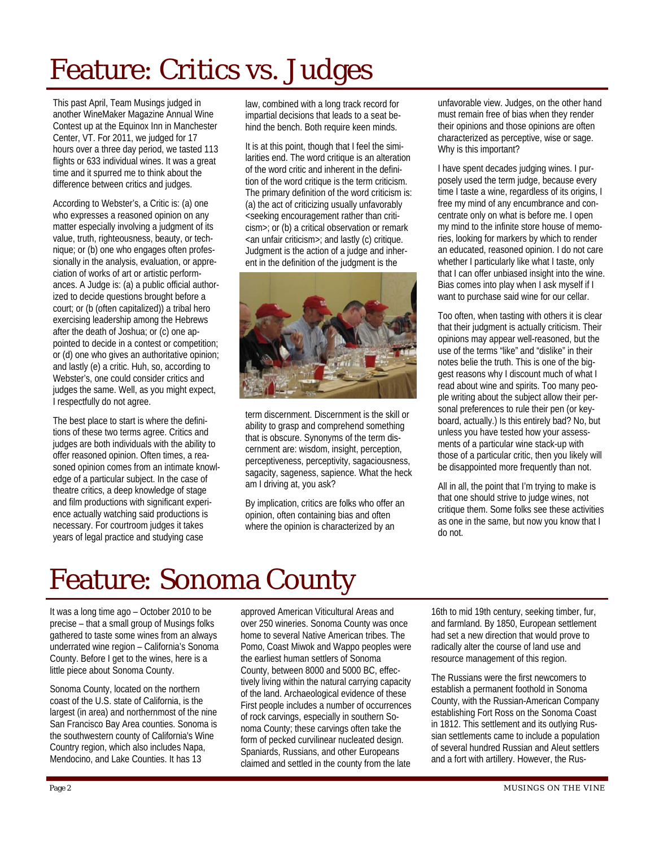# Feature: Critics vs. Judges

This past April, Team Musings judged in another WineMaker Magazine Annual Wine Contest up at the Equinox Inn in Manchester Center, VT. For 2011, we judged for 17 hours over a three day period, we tasted 113 flights or 633 individual wines. It was a great time and it spurred me to think about the difference between critics and judges.

According to Webster's, a Critic is: (a) one who expresses a reasoned opinion on any matter especially involving a judgment of its value, truth, righteousness, beauty, or technique; or (b) one who engages often professionally in the analysis, evaluation, or appreciation of works of art or artistic performances. A Judge is: (a) a public official authorized to decide questions brought before a court; or (b (often capitalized)) a tribal hero exercising leadership among the Hebrews after the death of Joshua; or (c) one appointed to decide in a contest or competition; or (d) one who gives an authoritative opinion; and lastly (e) a critic. Huh, so, according to Webster's, one could consider critics and judges the same. Well, as you might expect, I respectfully do not agree.

The best place to start is where the definitions of these two terms agree. Critics and judges are both individuals with the ability to offer reasoned opinion. Often times, a reasoned opinion comes from an intimate knowledge of a particular subject. In the case of theatre critics, a deep knowledge of stage and film productions with significant experience actually watching said productions is necessary. For courtroom judges it takes years of legal practice and studying case

law, combined with a long track record for impartial decisions that leads to a seat behind the bench. Both require keen minds.

It is at this point, though that I feel the similarities end. The word critique is an alteration of the word critic and inherent in the definition of the word critique is the term criticism. The primary definition of the word criticism is: (a) the act of criticizing usually unfavorably <seeking encouragement rather than criticism>; or (b) a critical observation or remark <an unfair criticism>; and lastly (c) critique. Judgment is the action of a judge and inherent in the definition of the judgment is the



term discernment. Discernment is the skill or ability to grasp and comprehend something that is obscure. Synonyms of the term discernment are: wisdom, insight, perception, perceptiveness, perceptivity, sagaciousness, sagacity, sageness, sapience. What the heck am I driving at, you ask?

By implication, critics are folks who offer an opinion, often containing bias and often where the opinion is characterized by an

unfavorable view. Judges, on the other hand must remain free of bias when they render their opinions and those opinions are often characterized as perceptive, wise or sage. Why is this important?

I have spent decades judging wines. I purposely used the term judge, because every time I taste a wine, regardless of its origins, I free my mind of any encumbrance and concentrate only on what is before me. I open my mind to the infinite store house of memories, looking for markers by which to render an educated, reasoned opinion. I do not care whether I particularly like what I taste, only that I can offer unbiased insight into the wine. Bias comes into play when I ask myself if I want to purchase said wine for our cellar.

Too often, when tasting with others it is clear that their judgment is actually criticism. Their opinions may appear well-reasoned, but the use of the terms "like" and "dislike" in their notes belie the truth. This is one of the biggest reasons why I discount much of what I read about wine and spirits. Too many people writing about the subject allow their personal preferences to rule their pen (or keyboard, actually.) Is this entirely bad? No, but unless you have tested how your assessments of a particular wine stack-up with those of a particular critic, then you likely will be disappointed more frequently than not.

All in all, the point that I'm trying to make is that one should strive to judge wines, not critique them. Some folks see these activities as one in the same, but now you know that I do not.

# Feature: Sonoma County

It was a long time ago – October 2010 to be precise – that a small group of Musings folks gathered to taste some wines from an always underrated wine region – California's Sonoma County. Before I get to the wines, here is a little piece about Sonoma County.

Sonoma County, located on the northern coast of the U.S. state of California, is the largest (in area) and northernmost of the nine San Francisco Bay Area counties. Sonoma is the southwestern county of California's Wine Country region, which also includes Napa, Mendocino, and Lake Counties. It has 13

approved American Viticultural Areas and over 250 wineries. Sonoma County was once home to several Native American tribes. The Pomo, Coast Miwok and Wappo peoples were the earliest human settlers of Sonoma County, between 8000 and 5000 BC, effectively living within the natural carrying capacity of the land. Archaeological evidence of these First people includes a number of occurrences of rock carvings, especially in southern Sonoma County; these carvings often take the form of pecked curvilinear nucleated design. Spaniards, Russians, and other Europeans claimed and settled in the county from the late

16th to mid 19th century, seeking timber, fur, and farmland. By 1850, European settlement had set a new direction that would prove to radically alter the course of land use and resource management of this region.

The Russians were the first newcomers to establish a permanent foothold in Sonoma County, with the Russian-American Company establishing Fort Ross on the Sonoma Coast in 1812. This settlement and its outlying Russian settlements came to include a population of several hundred Russian and Aleut settlers and a fort with artillery. However, the Rus-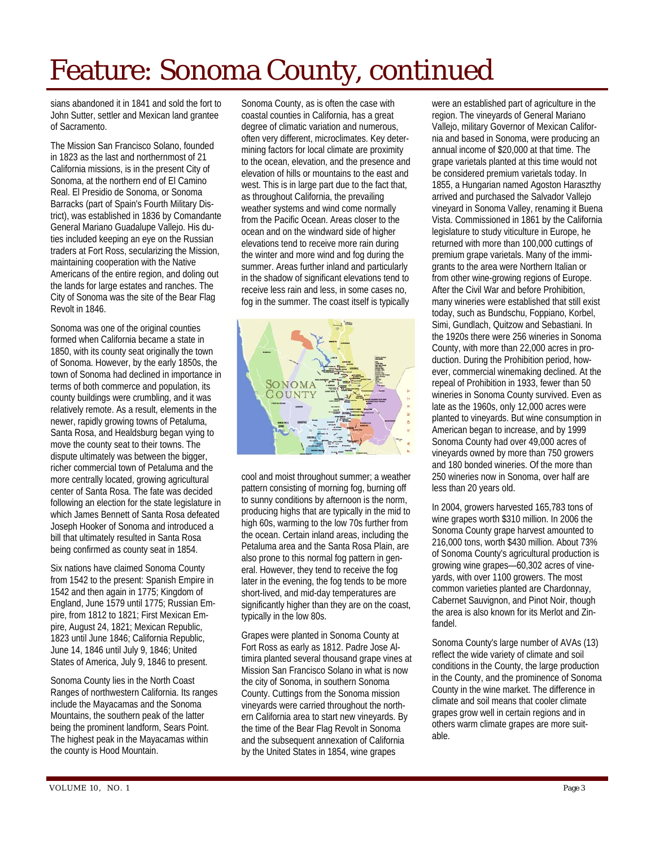# Feature: Sonoma County, continued

sians abandoned it in 1841 and sold the fort to John Sutter, settler and Mexican land grantee of Sacramento.

The Mission San Francisco Solano, founded in 1823 as the last and northernmost of 21 California missions, is in the present City of Sonoma, at the northern end of El Camino Real. El Presidio de Sonoma, or Sonoma Barracks (part of Spain's Fourth Military District), was established in 1836 by Comandante General Mariano Guadalupe Vallejo. His duties included keeping an eye on the Russian traders at Fort Ross, secularizing the Mission, maintaining cooperation with the Native Americans of the entire region, and doling out the lands for large estates and ranches. The City of Sonoma was the site of the Bear Flag Revolt in 1846.

Sonoma was one of the original counties formed when California became a state in 1850, with its county seat originally the town of Sonoma. However, by the early 1850s, the town of Sonoma had declined in importance in terms of both commerce and population, its county buildings were crumbling, and it was relatively remote. As a result, elements in the newer, rapidly growing towns of Petaluma, Santa Rosa, and Healdsburg began vying to move the county seat to their towns. The dispute ultimately was between the bigger, richer commercial town of Petaluma and the more centrally located, growing agricultural center of Santa Rosa. The fate was decided following an election for the state legislature in which James Bennett of Santa Rosa defeated Joseph Hooker of Sonoma and introduced a bill that ultimately resulted in Santa Rosa being confirmed as county seat in 1854.

Six nations have claimed Sonoma County from 1542 to the present: Spanish Empire in 1542 and then again in 1775; Kingdom of England, June 1579 until 1775; Russian Empire, from 1812 to 1821; First Mexican Empire, August 24, 1821; Mexican Republic, 1823 until June 1846; California Republic, June 14, 1846 until July 9, 1846; United States of America, July 9, 1846 to present.

Sonoma County lies in the North Coast Ranges of northwestern California. Its ranges include the Mayacamas and the Sonoma Mountains, the southern peak of the latter being the prominent landform, Sears Point. The highest peak in the Mayacamas within the county is Hood Mountain.

Sonoma County, as is often the case with coastal counties in California, has a great degree of climatic variation and numerous, often very different, microclimates. Key determining factors for local climate are proximity to the ocean, elevation, and the presence and elevation of hills or mountains to the east and west. This is in large part due to the fact that, as throughout California, the prevailing weather systems and wind come normally from the Pacific Ocean. Areas closer to the ocean and on the windward side of higher elevations tend to receive more rain during the winter and more wind and fog during the summer. Areas further inland and particularly in the shadow of significant elevations tend to receive less rain and less, in some cases no, fog in the summer. The coast itself is typically



cool and moist throughout summer; a weather pattern consisting of morning fog, burning off to sunny conditions by afternoon is the norm, producing highs that are typically in the mid to high 60s, warming to the low 70s further from the ocean. Certain inland areas, including the Petaluma area and the Santa Rosa Plain, are also prone to this normal fog pattern in general. However, they tend to receive the fog later in the evening, the fog tends to be more short-lived, and mid-day temperatures are significantly higher than they are on the coast, typically in the low 80s.

Grapes were planted in Sonoma County at Fort Ross as early as 1812. Padre Jose Altimira planted several thousand grape vines at Mission San Francisco Solano in what is now the city of Sonoma, in southern Sonoma County. Cuttings from the Sonoma mission vineyards were carried throughout the northern California area to start new vineyards. By the time of the Bear Flag Revolt in Sonoma and the subsequent annexation of California by the United States in 1854, wine grapes

were an established part of agriculture in the region. The vineyards of General Mariano Vallejo, military Governor of Mexican California and based in Sonoma, were producing an annual income of \$20,000 at that time. The grape varietals planted at this time would not be considered premium varietals today. In 1855, a Hungarian named Agoston Haraszthy arrived and purchased the Salvador Vallejo vineyard in Sonoma Valley, renaming it Buena Vista. Commissioned in 1861 by the California legislature to study viticulture in Europe, he returned with more than 100,000 cuttings of premium grape varietals. Many of the immigrants to the area were Northern Italian or from other wine-growing regions of Europe. After the Civil War and before Prohibition, many wineries were established that still exist today, such as Bundschu, Foppiano, Korbel, Simi, Gundlach, Quitzow and Sebastiani. In the 1920s there were 256 wineries in Sonoma County, with more than 22,000 acres in production. During the Prohibition period, however, commercial winemaking declined. At the repeal of Prohibition in 1933, fewer than 50 wineries in Sonoma County survived. Even as late as the 1960s, only 12,000 acres were planted to vineyards. But wine consumption in American began to increase, and by 1999 Sonoma County had over 49,000 acres of vineyards owned by more than 750 growers and 180 bonded wineries. Of the more than 250 wineries now in Sonoma, over half are less than 20 years old.

In 2004, growers harvested 165,783 tons of wine grapes worth \$310 million. In 2006 the Sonoma County grape harvest amounted to 216,000 tons, worth \$430 million. About 73% of Sonoma County's agricultural production is growing wine grapes—60,302 acres of vineyards, with over 1100 growers. The most common varieties planted are Chardonnay, Cabernet Sauvignon, and Pinot Noir, though the area is also known for its Merlot and Zinfandel.

Sonoma County's large number of AVAs (13) reflect the wide variety of climate and soil conditions in the County, the large production in the County, and the prominence of Sonoma County in the wine market. The difference in climate and soil means that cooler climate grapes grow well in certain regions and in others warm climate grapes are more suitable.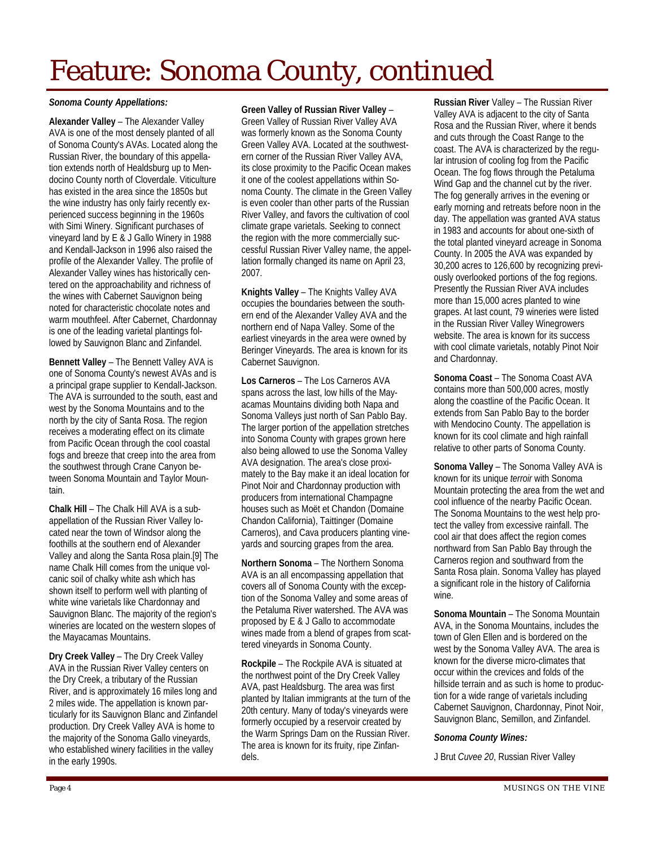# Feature: Sonoma County, continued

#### *Sonoma County Appellations:*

**Alexander Valley** – The Alexander Valley AVA is one of the most densely planted of all of Sonoma County's AVAs. Located along the Russian River, the boundary of this appellation extends north of Healdsburg up to Mendocino County north of Cloverdale. Viticulture has existed in the area since the 1850s but the wine industry has only fairly recently experienced success beginning in the 1960s with Simi Winery. Significant purchases of vineyard land by E & J Gallo Winery in 1988 and Kendall-Jackson in 1996 also raised the profile of the Alexander Valley. The profile of Alexander Valley wines has historically centered on the approachability and richness of the wines with Cabernet Sauvignon being noted for characteristic chocolate notes and warm mouthfeel. After Cabernet, Chardonnay is one of the leading varietal plantings followed by Sauvignon Blanc and Zinfandel.

**Bennett Valley** – The Bennett Valley AVA is one of Sonoma County's newest AVAs and is a principal grape supplier to Kendall-Jackson. The AVA is surrounded to the south, east and west by the Sonoma Mountains and to the north by the city of Santa Rosa. The region receives a moderating effect on its climate from Pacific Ocean through the cool coastal fogs and breeze that creep into the area from the southwest through Crane Canyon between Sonoma Mountain and Taylor Mountain.

**Chalk Hill** – The Chalk Hill AVA is a subappellation of the Russian River Valley located near the town of Windsor along the foothills at the southern end of Alexander Valley and along the Santa Rosa plain.[9] The name Chalk Hill comes from the unique volcanic soil of chalky white ash which has shown itself to perform well with planting of white wine varietals like Chardonnay and Sauvignon Blanc. The majority of the region's wineries are located on the western slopes of the Mayacamas Mountains.

**Dry Creek Valley** – The Dry Creek Valley AVA in the Russian River Valley centers on the Dry Creek, a tributary of the Russian River, and is approximately 16 miles long and 2 miles wide. The appellation is known particularly for its Sauvignon Blanc and Zinfandel production. Dry Creek Valley AVA is home to the majority of the Sonoma Gallo vineyards, who established winery facilities in the valley in the early 1990s.

**Green Valley of Russian River Valley** –

Green Valley of Russian River Valley AVA was formerly known as the Sonoma County Green Valley AVA. Located at the southwestern corner of the Russian River Valley AVA, its close proximity to the Pacific Ocean makes it one of the coolest appellations within Sonoma County. The climate in the Green Valley is even cooler than other parts of the Russian River Valley, and favors the cultivation of cool climate grape varietals. Seeking to connect the region with the more commercially successful Russian River Valley name, the appellation formally changed its name on April 23, 2007.

**Knights Valley** – The Knights Valley AVA occupies the boundaries between the southern end of the Alexander Valley AVA and the northern end of Napa Valley. Some of the earliest vineyards in the area were owned by Beringer Vineyards. The area is known for its Cabernet Sauvignon.

**Los Carneros** – The Los Carneros AVA spans across the last, low hills of the Mayacamas Mountains dividing both Napa and Sonoma Valleys just north of San Pablo Bay. The larger portion of the appellation stretches into Sonoma County with grapes grown here also being allowed to use the Sonoma Valley AVA designation. The area's close proximately to the Bay make it an ideal location for Pinot Noir and Chardonnay production with producers from international Champagne houses such as Moët et Chandon (Domaine Chandon California), Taittinger (Domaine Carneros), and Cava producers planting vineyards and sourcing grapes from the area.

**Northern Sonoma** – The Northern Sonoma AVA is an all encompassing appellation that covers all of Sonoma County with the exception of the Sonoma Valley and some areas of the Petaluma River watershed. The AVA was proposed by E & J Gallo to accommodate wines made from a blend of grapes from scattered vineyards in Sonoma County.

**Rockpile** – The Rockpile AVA is situated at the northwest point of the Dry Creek Valley AVA, past Healdsburg. The area was first planted by Italian immigrants at the turn of the 20th century. Many of today's vineyards were formerly occupied by a reservoir created by the Warm Springs Dam on the Russian River. The area is known for its fruity, ripe Zinfandels.

**Russian River** Valley – The Russian River Valley AVA is adjacent to the city of Santa Rosa and the Russian River, where it bends and cuts through the Coast Range to the coast. The AVA is characterized by the regular intrusion of cooling fog from the Pacific Ocean. The fog flows through the Petaluma Wind Gap and the channel cut by the river. The fog generally arrives in the evening or early morning and retreats before noon in the day. The appellation was granted AVA status in 1983 and accounts for about one-sixth of the total planted vineyard acreage in Sonoma County. In 2005 the AVA was expanded by 30,200 acres to 126,600 by recognizing previously overlooked portions of the fog regions. Presently the Russian River AVA includes more than 15,000 acres planted to wine grapes. At last count, 79 wineries were listed in the Russian River Valley Winegrowers website. The area is known for its success with cool climate varietals, notably Pinot Noir and Chardonnay.

**Sonoma Coast** – The Sonoma Coast AVA contains more than 500,000 acres, mostly along the coastline of the Pacific Ocean. It extends from San Pablo Bay to the border with Mendocino County. The appellation is known for its cool climate and high rainfall relative to other parts of Sonoma County.

**Sonoma Valley** – The Sonoma Valley AVA is known for its unique *terroir* with Sonoma Mountain protecting the area from the wet and cool influence of the nearby Pacific Ocean. The Sonoma Mountains to the west help protect the valley from excessive rainfall. The cool air that does affect the region comes northward from San Pablo Bay through the Carneros region and southward from the Santa Rosa plain. Sonoma Valley has played a significant role in the history of California wine.

**Sonoma Mountain** – The Sonoma Mountain AVA, in the Sonoma Mountains, includes the town of Glen Ellen and is bordered on the west by the Sonoma Valley AVA. The area is known for the diverse micro-climates that occur within the crevices and folds of the hillside terrain and as such is home to production for a wide range of varietals including Cabernet Sauvignon, Chardonnay, Pinot Noir, Sauvignon Blanc, Semillon, and Zinfandel.

#### *Sonoma County Wines:*

J Brut *Cuvee 20*, Russian River Valley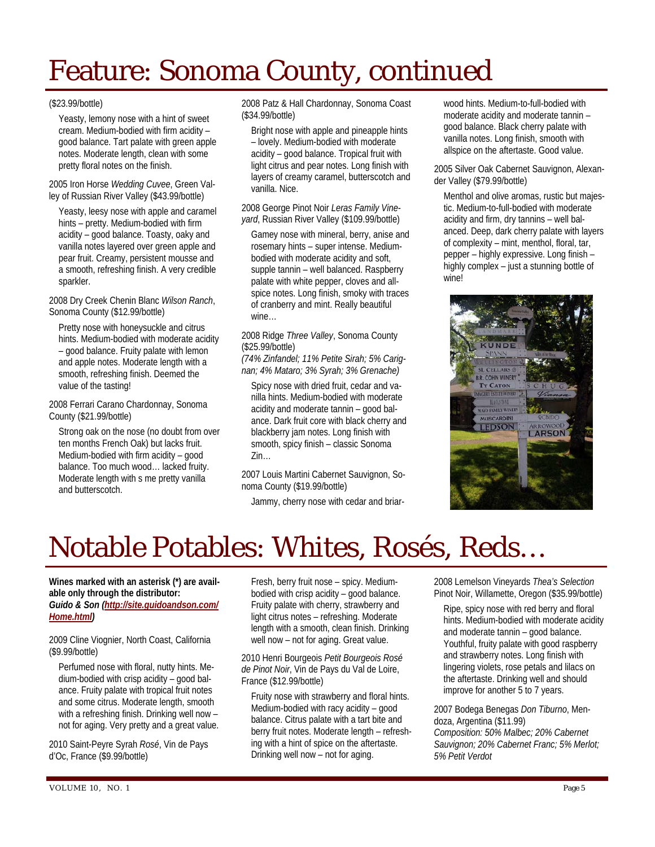# Feature: Sonoma County, continued

#### (\$23.99/bottle)

Yeasty, lemony nose with a hint of sweet cream. Medium-bodied with firm acidity – good balance. Tart palate with green apple notes. Moderate length, clean with some pretty floral notes on the finish.

2005 Iron Horse *Wedding Cuvee*, Green Valley of Russian River Valley (\$43.99/bottle)

Yeasty, leesy nose with apple and caramel hints – pretty. Medium-bodied with firm acidity – good balance. Toasty, oaky and vanilla notes layered over green apple and pear fruit. Creamy, persistent mousse and a smooth, refreshing finish. A very credible sparkler.

2008 Dry Creek Chenin Blanc *Wilson Ranch*, Sonoma County (\$12.99/bottle)

Pretty nose with honeysuckle and citrus hints. Medium-bodied with moderate acidity – good balance. Fruity palate with lemon and apple notes. Moderate length with a smooth, refreshing finish. Deemed the value of the tasting!

2008 Ferrari Carano Chardonnay, Sonoma County (\$21.99/bottle)

Strong oak on the nose (no doubt from over ten months French Oak) but lacks fruit. Medium-bodied with firm acidity – good balance. Too much wood… lacked fruity. Moderate length with s me pretty vanilla and butterscotch.

2008 Patz & Hall Chardonnay, Sonoma Coast (\$34.99/bottle)

Bright nose with apple and pineapple hints – lovely. Medium-bodied with moderate acidity – good balance. Tropical fruit with light citrus and pear notes. Long finish with layers of creamy caramel, butterscotch and vanilla. Nice.

2008 George Pinot Noir *Leras Family Vineyard*, Russian River Valley (\$109.99/bottle)

Gamey nose with mineral, berry, anise and rosemary hints – super intense. Mediumbodied with moderate acidity and soft, supple tannin – well balanced. Raspberry palate with white pepper, cloves and allspice notes. Long finish, smoky with traces of cranberry and mint. Really beautiful wine…

2008 Ridge *Three Valley*, Sonoma County (\$25.99/bottle)

*(74% Zinfandel; 11% Petite Sirah; 5% Carignan; 4% Mataro; 3% Syrah; 3% Grenache)* 

Spicy nose with dried fruit, cedar and vanilla hints. Medium-bodied with moderate acidity and moderate tannin – good balance. Dark fruit core with black cherry and blackberry jam notes. Long finish with smooth, spicy finish – classic Sonoma Zin…

2007 Louis Martini Cabernet Sauvignon, Sonoma County (\$19.99/bottle)

Jammy, cherry nose with cedar and briar-

wood hints. Medium-to-full-bodied with moderate acidity and moderate tannin – good balance. Black cherry palate with vanilla notes. Long finish, smooth with allspice on the aftertaste. Good value.

2005 Silver Oak Cabernet Sauvignon, Alexander Valley (\$79.99/bottle)

Menthol and olive aromas, rustic but majestic. Medium-to-full-bodied with moderate acidity and firm, dry tannins – well balanced. Deep, dark cherry palate with layers of complexity – mint, menthol, floral, tar, pepper – highly expressive. Long finish – highly complex – just a stunning bottle of wine!



### Notable Potables: Whites, Rosés, Reds…

**Wines marked with an asterisk (\*) are available only through the distributor:**  *Guido & Son (http://site.guidoandson.com/ Home.html)* 

2009 Cline Viognier, North Coast, California (\$9.99/bottle)

Perfumed nose with floral, nutty hints. Medium-bodied with crisp acidity – good balance. Fruity palate with tropical fruit notes and some citrus. Moderate length, smooth with a refreshing finish. Drinking well now – not for aging. Very pretty and a great value.

2010 Saint-Peyre Syrah *Rosé*, Vin de Pays d'Oc, France (\$9.99/bottle)

Fresh, berry fruit nose – spicy. Mediumbodied with crisp acidity – good balance. Fruity palate with cherry, strawberry and light citrus notes – refreshing. Moderate length with a smooth, clean finish. Drinking well now – not for aging. Great value.

2010 Henri Bourgeois *Petit Bourgeois Rosé de Pinot Noir*, Vin de Pays du Val de Loire, France (\$12.99/bottle)

Fruity nose with strawberry and floral hints. Medium-bodied with racy acidity – good balance. Citrus palate with a tart bite and berry fruit notes. Moderate length – refreshing with a hint of spice on the aftertaste. Drinking well now – not for aging.

2008 Lemelson Vineyards *Thea's Selection* Pinot Noir, Willamette, Oregon (\$35.99/bottle)

Ripe, spicy nose with red berry and floral hints. Medium-bodied with moderate acidity and moderate tannin – good balance. Youthful, fruity palate with good raspberry and strawberry notes. Long finish with lingering violets, rose petals and lilacs on the aftertaste. Drinking well and should improve for another 5 to 7 years.

2007 Bodega Benegas *Don Tiburno*, Mendoza, Argentina (\$11.99) *Composition: 50% Malbec; 20% Cabernet Sauvignon; 20% Cabernet Franc; 5% Merlot; 5% Petit Verdot*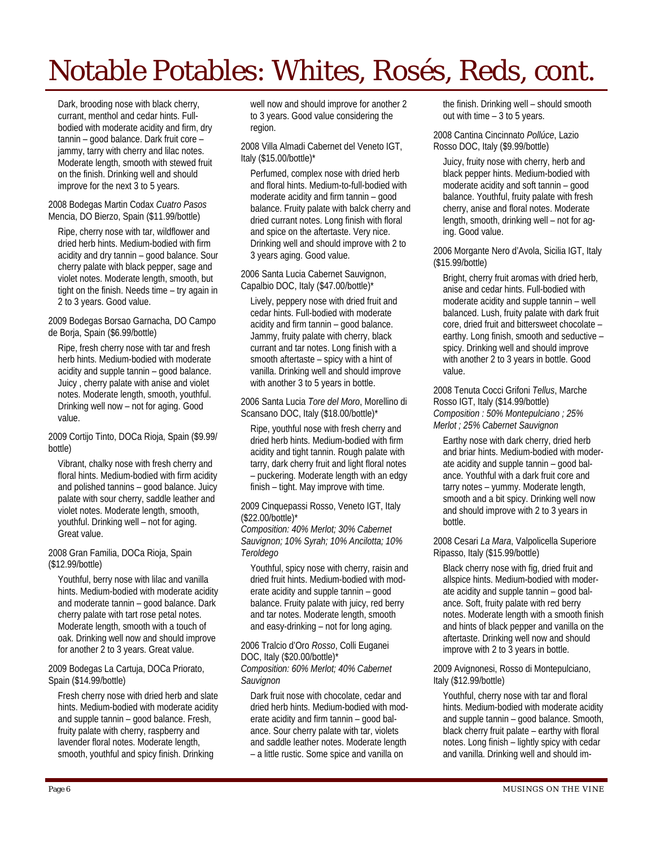# Notable Potables: Whites, Rosés, Reds, cont.

Dark, brooding nose with black cherry, currant, menthol and cedar hints. Fullbodied with moderate acidity and firm, dry tannin – good balance. Dark fruit core – jammy, tarry with cherry and lilac notes. Moderate length, smooth with stewed fruit on the finish. Drinking well and should improve for the next 3 to 5 years.

#### 2008 Bodegas Martin Codax *Cuatro Pasos* Mencia, DO Bierzo, Spain (\$11.99/bottle)

Ripe, cherry nose with tar, wildflower and dried herb hints. Medium-bodied with firm acidity and dry tannin – good balance. Sour cherry palate with black pepper, sage and violet notes. Moderate length, smooth, but tight on the finish. Needs time – try again in 2 to 3 years. Good value.

#### 2009 Bodegas Borsao Garnacha, DO Campo de Borja, Spain (\$6.99/bottle)

Ripe, fresh cherry nose with tar and fresh herb hints. Medium-bodied with moderate acidity and supple tannin – good balance. Juicy , cherry palate with anise and violet notes. Moderate length, smooth, youthful. Drinking well now – not for aging. Good value.

2009 Cortijo Tinto, DOCa Rioja, Spain (\$9.99/ bottle)

Vibrant, chalky nose with fresh cherry and floral hints. Medium-bodied with firm acidity and polished tannins – good balance. Juicy palate with sour cherry, saddle leather and violet notes. Moderate length, smooth, youthful. Drinking well – not for aging. Great value.

#### 2008 Gran Familia, DOCa Rioja, Spain (\$12.99/bottle)

Youthful, berry nose with lilac and vanilla hints. Medium-bodied with moderate acidity and moderate tannin – good balance. Dark cherry palate with tart rose petal notes. Moderate length, smooth with a touch of oak. Drinking well now and should improve for another 2 to 3 years. Great value.

2009 Bodegas La Cartuja, DOCa Priorato, Spain (\$14.99/bottle)

Fresh cherry nose with dried herb and slate hints. Medium-bodied with moderate acidity and supple tannin – good balance. Fresh, fruity palate with cherry, raspberry and lavender floral notes. Moderate length, smooth, youthful and spicy finish. Drinking

well now and should improve for another 2 to 3 years. Good value considering the region.

#### 2008 Villa Almadi Cabernet del Veneto IGT, Italy (\$15.00/bottle)\*

Perfumed, complex nose with dried herb and floral hints. Medium-to-full-bodied with moderate acidity and firm tannin – good balance. Fruity palate with balck cherry and dried currant notes. Long finish with floral and spice on the aftertaste. Very nice. Drinking well and should improve with 2 to 3 years aging. Good value.

#### 2006 Santa Lucia Cabernet Sauvignon, Capalbio DOC, Italy (\$47.00/bottle)\*

Lively, peppery nose with dried fruit and cedar hints. Full-bodied with moderate acidity and firm tannin – good balance. Jammy, fruity palate with cherry, black currant and tar notes. Long finish with a smooth aftertaste – spicy with a hint of vanilla. Drinking well and should improve with another 3 to 5 years in bottle.

2006 Santa Lucia *Tore del Moro*, Morellino di Scansano DOC, Italy (\$18.00/bottle)\*

Ripe, youthful nose with fresh cherry and dried herb hints. Medium-bodied with firm acidity and tight tannin. Rough palate with tarry, dark cherry fruit and light floral notes – puckering. Moderate length with an edgy finish – tight. May improve with time.

#### 2009 Cinquepassi Rosso, Veneto IGT, Italy (\$22.00/bottle)\*

*Composition: 40% Merlot; 30% Cabernet Sauvignon; 10% Syrah; 10% Ancilotta; 10% Teroldego*

Youthful, spicy nose with cherry, raisin and dried fruit hints. Medium-bodied with moderate acidity and supple tannin – good balance. Fruity palate with juicy, red berry and tar notes. Moderate length, smooth and easy-drinking – not for long aging.

#### 2006 Tralcio d'Oro *Rosso*, Colli Euganei DOC, Italy (\$20.00/bottle)\* *Composition: 60% Merlot; 40% Cabernet Sauvignon*

Dark fruit nose with chocolate, cedar and dried herb hints. Medium-bodied with moderate acidity and firm tannin – good balance. Sour cherry palate with tar, violets and saddle leather notes. Moderate length – a little rustic. Some spice and vanilla on

the finish. Drinking well – should smooth out with time  $-3$  to 5 years.

#### 2008 Cantina Cincinnato *Pollúce*, Lazio Rosso DOC, Italy (\$9.99/bottle)

Juicy, fruity nose with cherry, herb and black pepper hints. Medium-bodied with moderate acidity and soft tannin – good balance. Youthful, fruity palate with fresh cherry, anise and floral notes. Moderate length, smooth, drinking well – not for aging. Good value.

#### 2006 Morgante Nero d'Avola, Sicilia IGT, Italy (\$15.99/bottle)

Bright, cherry fruit aromas with dried herb, anise and cedar hints. Full-bodied with moderate acidity and supple tannin – well balanced. Lush, fruity palate with dark fruit core, dried fruit and bittersweet chocolate – earthy. Long finish, smooth and seductive – spicy. Drinking well and should improve with another 2 to 3 years in bottle. Good value.

#### 2008 Tenuta Cocci Grifoni *Tellus*, Marche Rosso IGT, Italy (\$14.99/bottle) *Composition : 50% Montepulciano ; 25% Merlot ; 25% Cabernet Sauvignon*

Earthy nose with dark cherry, dried herb and briar hints. Medium-bodied with moderate acidity and supple tannin – good balance. Youthful with a dark fruit core and tarry notes – yummy. Moderate length, smooth and a bit spicy. Drinking well now and should improve with 2 to 3 years in bottle.

#### 2008 Cesari *La Mara*, Valpolicella Superiore Ripasso, Italy (\$15.99/bottle)

Black cherry nose with fig, dried fruit and allspice hints. Medium-bodied with moderate acidity and supple tannin – good balance. Soft, fruity palate with red berry notes. Moderate length with a smooth finish and hints of black pepper and vanilla on the aftertaste. Drinking well now and should improve with 2 to 3 years in bottle.

#### 2009 Avignonesi, Rosso di Montepulciano, Italy (\$12.99/bottle)

Youthful, cherry nose with tar and floral hints. Medium-bodied with moderate acidity and supple tannin – good balance. Smooth, black cherry fruit palate – earthy with floral notes. Long finish – lightly spicy with cedar and vanilla. Drinking well and should im-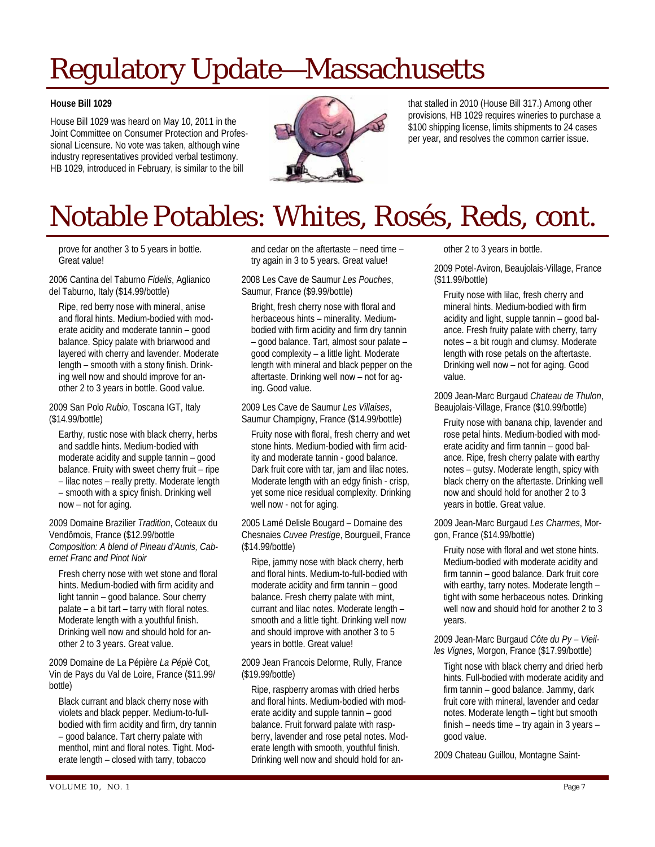# Regulatory Update—Massachusetts

#### **House Bill 1029**

House Bill 1029 was heard on May 10, 2011 in the Joint Committee on Consumer Protection and Professional Licensure. No vote was taken, although wine industry representatives provided verbal testimony. HB 1029, introduced in February, is similar to the bill



that stalled in 2010 (House Bill 317.) Among other provisions, HB 1029 requires wineries to purchase a \$100 shipping license, limits shipments to 24 cases per year, and resolves the common carrier issue.

# Notable Potables: Whites, Rosés, Reds, cont.

prove for another 3 to 5 years in bottle. Great value!

2006 Cantina del Taburno *Fidelis*, Aglianico del Taburno, Italy (\$14.99/bottle)

Ripe, red berry nose with mineral, anise and floral hints. Medium-bodied with moderate acidity and moderate tannin – good balance. Spicy palate with briarwood and layered with cherry and lavender. Moderate length – smooth with a stony finish. Drinking well now and should improve for another 2 to 3 years in bottle. Good value.

2009 San Polo *Rubio*, Toscana IGT, Italy (\$14.99/bottle)

Earthy, rustic nose with black cherry, herbs and saddle hints. Medium-bodied with moderate acidity and supple tannin – good balance. Fruity with sweet cherry fruit – ripe – lilac notes – really pretty. Moderate length – smooth with a spicy finish. Drinking well now – not for aging.

2009 Domaine Brazilier *Tradition*, Coteaux du Vendômois, France (\$12.99/bottle *Composition: A blend of Pineau d'Aunis, Cabernet Franc and Pinot Noir* 

Fresh cherry nose with wet stone and floral hints. Medium-bodied with firm acidity and light tannin – good balance. Sour cherry palate – a bit tart – tarry with floral notes. Moderate length with a youthful finish. Drinking well now and should hold for another 2 to 3 years. Great value.

2009 Domaine de La Pépière *La Pépiè* Cot, Vin de Pays du Val de Loire, France (\$11.99/ bottle)

Black currant and black cherry nose with violets and black pepper. Medium-to-fullbodied with firm acidity and firm, dry tannin – good balance. Tart cherry palate with menthol, mint and floral notes. Tight. Moderate length – closed with tarry, tobacco

and cedar on the aftertaste – need time – try again in 3 to 5 years. Great value!

2008 Les Cave de Saumur *Les Pouches*, Saumur, France (\$9.99/bottle)

Bright, fresh cherry nose with floral and herbaceous hints – minerality. Mediumbodied with firm acidity and firm dry tannin – good balance. Tart, almost sour palate – good complexity – a little light. Moderate length with mineral and black pepper on the aftertaste. Drinking well now – not for aging. Good value.

2009 Les Cave de Saumur *Les Villaises*, Saumur Champigny, France (\$14.99/bottle)

Fruity nose with floral, fresh cherry and wet stone hints. Medium-bodied with firm acidity and moderate tannin - good balance. Dark fruit core with tar, jam and lilac notes. Moderate length with an edgy finish - crisp, yet some nice residual complexity. Drinking well now - not for aging.

2005 Lamé Delisle Bougard – Domaine des Chesnaies *Cuvee Prestige*, Bourgueil, France (\$14.99/bottle)

Ripe, jammy nose with black cherry, herb and floral hints. Medium-to-full-bodied with moderate acidity and firm tannin – good balance. Fresh cherry palate with mint, currant and lilac notes. Moderate length – smooth and a little tight. Drinking well now and should improve with another 3 to 5 years in bottle. Great value!

2009 Jean Francois Delorme, Rully, France (\$19.99/bottle)

Ripe, raspberry aromas with dried herbs and floral hints. Medium-bodied with moderate acidity and supple tannin – good balance. Fruit forward palate with raspberry, lavender and rose petal notes. Moderate length with smooth, youthful finish. Drinking well now and should hold for another 2 to 3 years in bottle.

2009 Potel-Aviron, Beaujolais-Village, France (\$11.99/bottle)

Fruity nose with lilac, fresh cherry and mineral hints. Medium-bodied with firm acidity and light, supple tannin – good balance. Fresh fruity palate with cherry, tarry notes – a bit rough and clumsy. Moderate length with rose petals on the aftertaste. Drinking well now – not for aging. Good value.

2009 Jean-Marc Burgaud *Chateau de Thulon*, Beaujolais-Village, France (\$10.99/bottle)

Fruity nose with banana chip, lavender and rose petal hints. Medium-bodied with moderate acidity and firm tannin – good balance. Ripe, fresh cherry palate with earthy notes – gutsy. Moderate length, spicy with black cherry on the aftertaste. Drinking well now and should hold for another 2 to 3 years in bottle. Great value.

2009 Jean-Marc Burgaud *Les Charmes*, Morgon, France (\$14.99/bottle)

Fruity nose with floral and wet stone hints. Medium-bodied with moderate acidity and firm tannin – good balance. Dark fruit core with earthy, tarry notes. Moderate length – tight with some herbaceous notes. Drinking well now and should hold for another 2 to 3 years.

2009 Jean-Marc Burgaud *Côte du Py – Vieilles Vignes*, Morgon, France (\$17.99/bottle)

Tight nose with black cherry and dried herb hints. Full-bodied with moderate acidity and firm tannin – good balance. Jammy, dark fruit core with mineral, lavender and cedar notes. Moderate length – tight but smooth finish – needs time – try again in 3 years – good value.

2009 Chateau Guillou, Montagne Saint-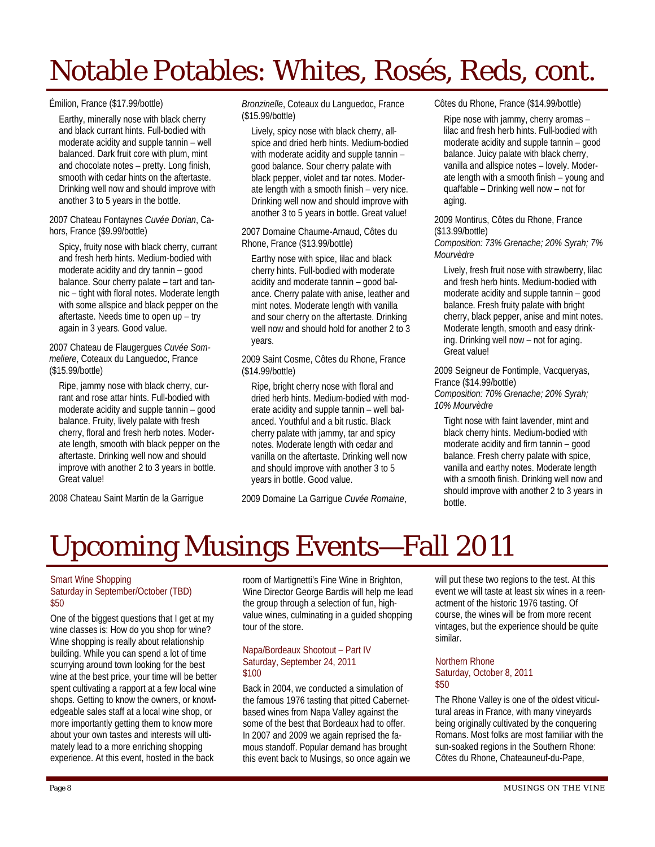# Notable Potables: Whites, Rosés, Reds, cont.

#### Émilion, France (\$17.99/bottle)

Earthy, minerally nose with black cherry and black currant hints. Full-bodied with moderate acidity and supple tannin – well balanced. Dark fruit core with plum, mint and chocolate notes – pretty. Long finish, smooth with cedar hints on the aftertaste. Drinking well now and should improve with another 3 to 5 years in the bottle.

2007 Chateau Fontaynes *Cuvée Dorian*, Cahors, France (\$9.99/bottle)

Spicy, fruity nose with black cherry, currant and fresh herb hints. Medium-bodied with moderate acidity and dry tannin – good balance. Sour cherry palate – tart and tannic – tight with floral notes. Moderate length with some allspice and black pepper on the aftertaste. Needs time to open up – try again in 3 years. Good value.

2007 Chateau de Flaugergues *Cuvée Sommeliere*, Coteaux du Languedoc, France (\$15.99/bottle)

Ripe, jammy nose with black cherry, currant and rose attar hints. Full-bodied with moderate acidity and supple tannin – good balance. Fruity, lively palate with fresh cherry, floral and fresh herb notes. Moderate length, smooth with black pepper on the aftertaste. Drinking well now and should improve with another 2 to 3 years in bottle. Great value!

2008 Chateau Saint Martin de la Garrigue

*Bronzinelle*, Coteaux du Languedoc, France (\$15.99/bottle)

Lively, spicy nose with black cherry, allspice and dried herb hints. Medium-bodied with moderate acidity and supple tannin – good balance. Sour cherry palate with black pepper, violet and tar notes. Moderate length with a smooth finish – very nice. Drinking well now and should improve with another 3 to 5 years in bottle. Great value!

2007 Domaine Chaume-Arnaud, Côtes du Rhone, France (\$13.99/bottle)

Earthy nose with spice, lilac and black cherry hints. Full-bodied with moderate acidity and moderate tannin – good balance. Cherry palate with anise, leather and mint notes. Moderate length with vanilla and sour cherry on the aftertaste. Drinking well now and should hold for another 2 to 3 years.

2009 Saint Cosme, Côtes du Rhone, France (\$14.99/bottle)

Ripe, bright cherry nose with floral and dried herb hints. Medium-bodied with moderate acidity and supple tannin – well balanced. Youthful and a bit rustic. Black cherry palate with jammy, tar and spicy notes. Moderate length with cedar and vanilla on the aftertaste. Drinking well now and should improve with another 3 to 5 years in bottle. Good value.

2009 Domaine La Garrigue *Cuvée Romaine*,

Côtes du Rhone, France (\$14.99/bottle)

Ripe nose with jammy, cherry aromas – lilac and fresh herb hints. Full-bodied with moderate acidity and supple tannin – good balance. Juicy palate with black cherry, vanilla and allspice notes – lovely. Moderate length with a smooth finish – young and quaffable – Drinking well now – not for aging.

2009 Montirus, Côtes du Rhone, France (\$13.99/bottle)

*Composition: 73% Grenache; 20% Syrah; 7% Mourvèdre* 

Lively, fresh fruit nose with strawberry, lilac and fresh herb hints. Medium-bodied with moderate acidity and supple tannin – good balance. Fresh fruity palate with bright cherry, black pepper, anise and mint notes. Moderate length, smooth and easy drinking. Drinking well now – not for aging. Great value!

2009 Seigneur de Fontimple, Vacqueryas, France (\$14.99/bottle)

*Composition: 70% Grenache; 20% Syrah; 10% Mourvèdre* 

Tight nose with faint lavender, mint and black cherry hints. Medium-bodied with moderate acidity and firm tannin – good balance. Fresh cherry palate with spice, vanilla and earthy notes. Moderate length with a smooth finish. Drinking well now and should improve with another 2 to 3 years in bottle.

## Upcoming Musings Events—Fall 2011

#### Smart Wine Shopping Saturday in September/October (TBD) \$50

One of the biggest questions that I get at my wine classes is: How do you shop for wine? Wine shopping is really about relationship building. While you can spend a lot of time scurrying around town looking for the best wine at the best price, your time will be better spent cultivating a rapport at a few local wine shops. Getting to know the owners, or knowledgeable sales staff at a local wine shop, or more importantly getting them to know more about your own tastes and interests will ultimately lead to a more enriching shopping experience. At this event, hosted in the back

room of Martignetti's Fine Wine in Brighton, Wine Director George Bardis will help me lead the group through a selection of fun, highvalue wines, culminating in a guided shopping tour of the store.

#### Napa/Bordeaux Shootout – Part IV Saturday, September 24, 2011 \$100

Back in 2004, we conducted a simulation of the famous 1976 tasting that pitted Cabernetbased wines from Napa Valley against the some of the best that Bordeaux had to offer. In 2007 and 2009 we again reprised the famous standoff. Popular demand has brought this event back to Musings, so once again we

will put these two regions to the test. At this event we will taste at least six wines in a reenactment of the historic 1976 tasting. Of course, the wines will be from more recent vintages, but the experience should be quite similar.

#### Northern Rhone Saturday, October 8, 2011 \$50

The Rhone Valley is one of the oldest viticultural areas in France, with many vineyards being originally cultivated by the conquering Romans. Most folks are most familiar with the sun-soaked regions in the Southern Rhone: Côtes du Rhone, Chateauneuf-du-Pape,